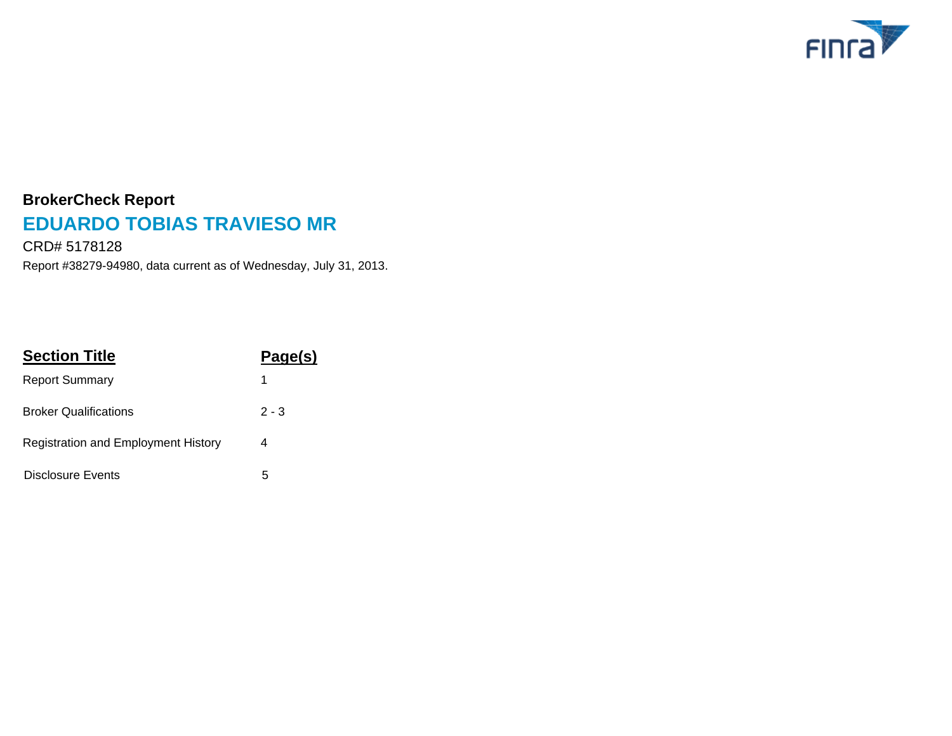

# **BrokerCheck Report EDUARDO TOBIAS TRAVIESO MR**

Report #38279-94980, data current as of Wednesday, July 31, 2013. CRD# 5178128

| <b>Section Title</b>                | Page(s) |  |
|-------------------------------------|---------|--|
| <b>Report Summary</b>               | 1       |  |
| <b>Broker Qualifications</b>        | $2 - 3$ |  |
| Registration and Employment History | 4       |  |
| Disclosure Events                   | 5       |  |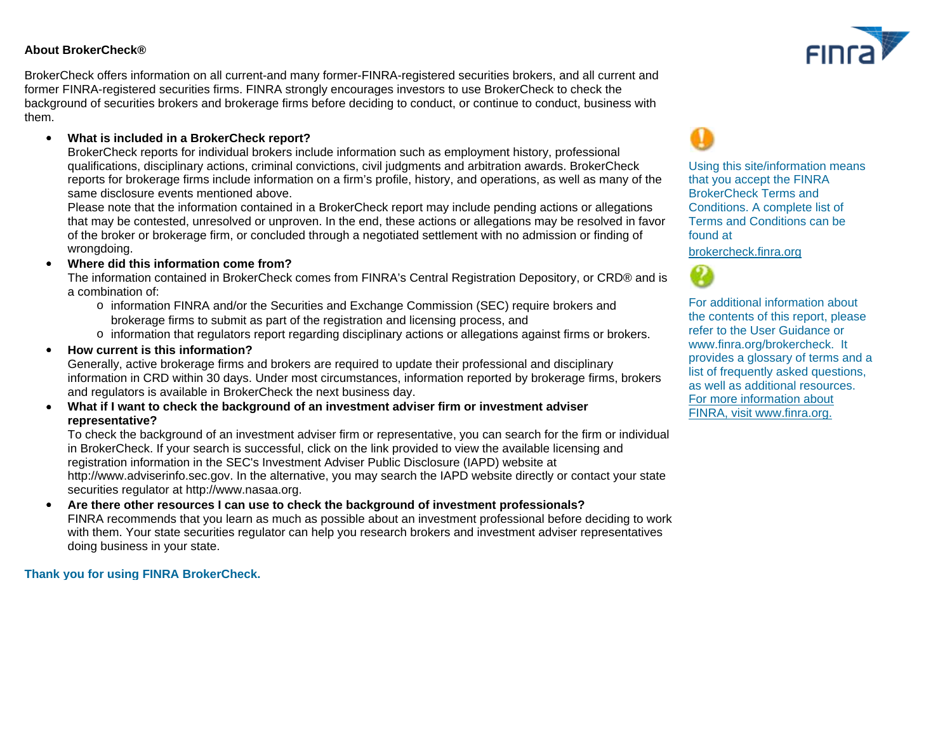#### **About BrokerCheck®**

BrokerCheck offers information on all current-and many former-FINRA-registered securities brokers, and all current and former FINRA-registered securities firms. FINRA strongly encourages investors to use BrokerCheck to check the background of securities brokers and brokerage firms before deciding to conduct, or continue to conduct, business with them.

### · **What is included in a BrokerCheck report?**

BrokerCheck reports for individual brokers include information such as employment history, professional qualifications, disciplinary actions, criminal convictions, civil judgments and arbitration awards. BrokerCheck reports for brokerage firms include information on a firm's profile, history, and operations, as well as many of the same disclosure events mentioned above.

Please note that the information contained in a BrokerCheck report may include pending actions or allegations that may be contested, unresolved or unproven. In the end, these actions or allegations may be resolved in favor of the broker or brokerage firm, or concluded through a negotiated settlement with no admission or finding of wrongdoing.

#### · **Where did this information come from?**

The information contained in BrokerCheck comes from FINRA's Central Registration Depository, or CRD® and is a combination of:

- o information FINRA and/or the Securities and Exchange Commission (SEC) require brokers and brokerage firms to submit as part of the registration and licensing process, and
- o information that regulators report regarding disciplinary actions or allegations against firms or brokers.

#### · **How current is this information?**

Generally, active brokerage firms and brokers are required to update their professional and disciplinary information in CRD within 30 days. Under most circumstances, information reported by brokerage firms, brokers and regulators is available in BrokerCheck the next business day.

#### · **What if I want to check the background of an investment adviser firm or investment adviser representative?**

To check the background of an investment adviser firm or representative, you can search for the firm or individual in BrokerCheck. If your search is successful, click on the link provided to view the available licensing and registration information in the SEC's Investment Adviser Public Disclosure (IAPD) website at http://www.adviserinfo.sec.gov. In the alternative, you may search the IAPD website directly or contact your state securities regulator at http://www.nasaa.org.

· **Are there other resources I can use to check the background of investment professionals?** FINRA recommends that you learn as much as possible about an investment professional before deciding to work with them. Your state securities regulator can help you research brokers and investment adviser representatives doing business in your state.

#### **Thank you for using FINRA BrokerCheck.**



Using this site/information means that you accept the FINRA BrokerCheck Terms and Conditions. A complete list of Terms and Conditions can be found at

[brokercheck.finra.org](http://brokercheck.finra.org/terms.aspx)



[For more information about](http://www.finra.org) FINRA, visit www.finra.org. For additional information about the contents of this report, please refer to the User Guidance or www.finra.org/brokercheck. It provides a glossary of terms and a list of frequently asked questions, as well as additional resources.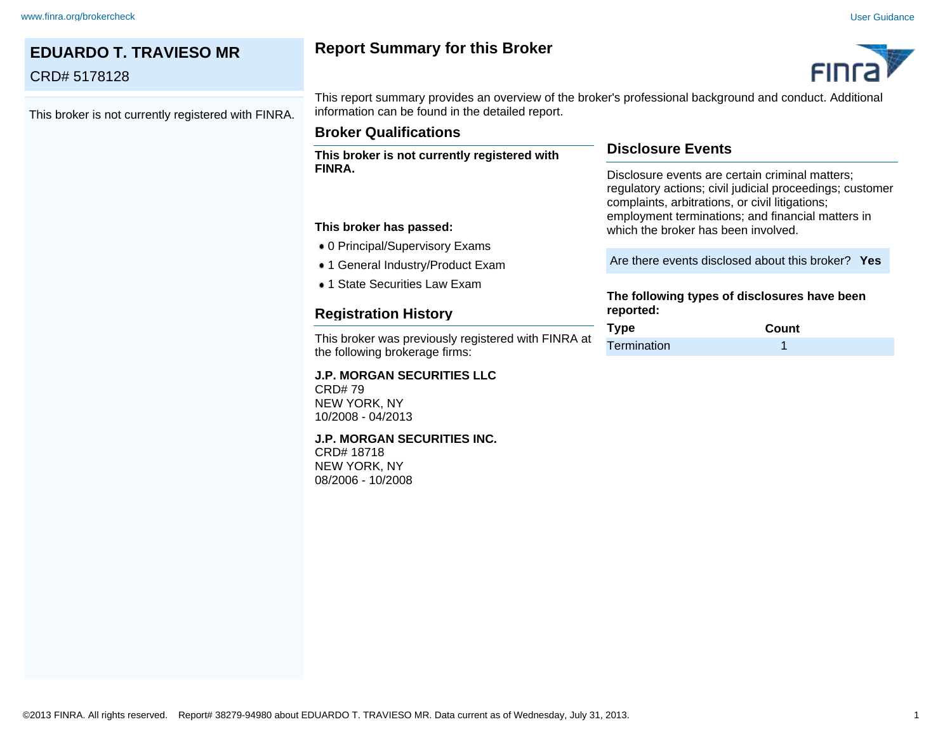## **EDUARDO T. TRAVIESO MR** CRD# 5178128 This broker is not currently registered with FINRA. **Report Summary for this Broker** This report summary provides an overview of the broker's professional background and conduct. Additional information can be found in the detailed report. **Disclosure Events** Disclosure events are certain criminal matters; regulatory actions; civil judicial proceedings; customer complaints, arbitrations, or civil litigations; employment terminations; and financial matters in which the broker has been involved. Are there events disclosed about this broker? **Yes The following types of disclosures have been reported: Type Count** Termination 1 **Broker Qualifications This broker is not currently registered with FINRA. This broker has passed:** 0 Principal/Supervisory Exams ■ 1 General Industry/Product Exam • 1 State Securities Law Exam **Registration History** This broker was previously registered with FINRA at the following brokerage firms: **J.P. MORGAN SECURITIES LLC** CRD# 79 NEW YORK, NY 10/2008 - 04/2013 **J.P. MORGAN SECURITIES INC.** CRD# 18718 NEW YORK, NY 08/2006 - 10/2008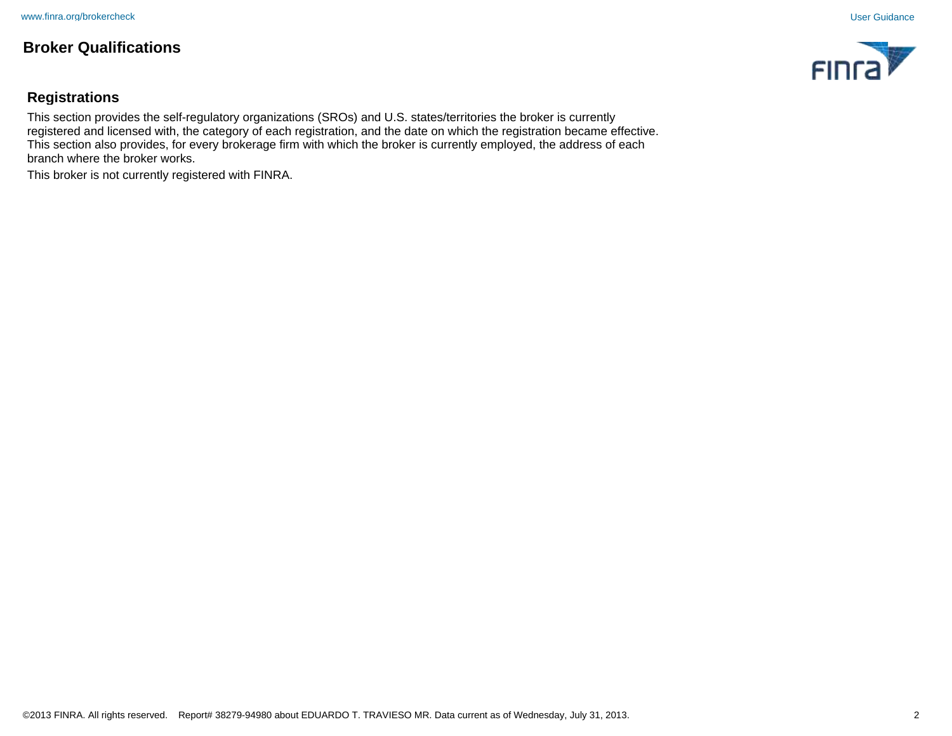# **Broker Qualifications**



# **Registrations**

This section provides the self-regulatory organizations (SROs) and U.S. states/territories the broker is currently registered and licensed with, the category of each registration, and the date on which the registration became effective. This section also provides, for every brokerage firm with which the broker is currently employed, the address of each branch where the broker works.

This broker is not currently registered with FINRA.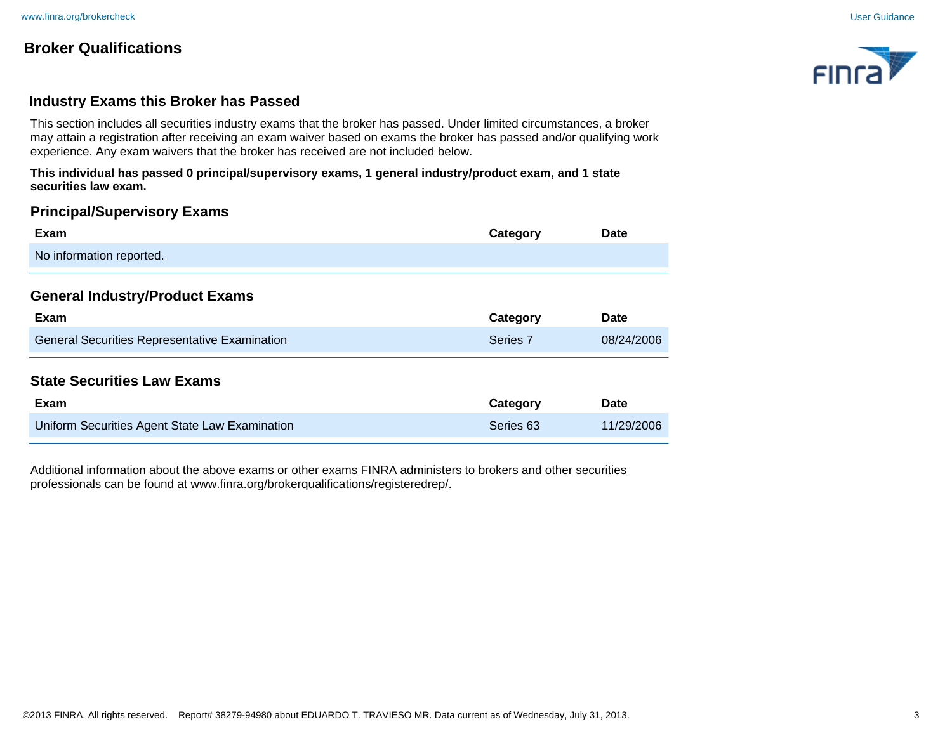# **Broker Qualifications**



## **Industry Exams this Broker has Passed**

This section includes all securities industry exams that the broker has passed. Under limited circumstances, a broker may attain a registration after receiving an exam waiver based on exams the broker has passed and/or qualifying work experience. Any exam waivers that the broker has received are not included below.

**This individual has passed 0 principal/supervisory exams, 1 general industry/product exam, and 1 state securities law exam.**

## **Principal/Supervisory Exams**

| Exam                                                 | Category            | Date       |
|------------------------------------------------------|---------------------|------------|
| No information reported.                             |                     |            |
| <b>General Industry/Product Exams</b>                |                     |            |
| Exam                                                 | Category            | Date       |
| <b>General Securities Representative Examination</b> | Series <sub>7</sub> | 08/24/2006 |
| <b>State Securities Law Exams</b><br>Exam            | Category            | Date       |
| Uniform Securities Agent State Law Examination       | Series 63           | 11/29/2006 |

Additional information about the above exams or other exams FINRA administers to brokers and other securities professionals can be found at www.finra.org/brokerqualifications/registeredrep/.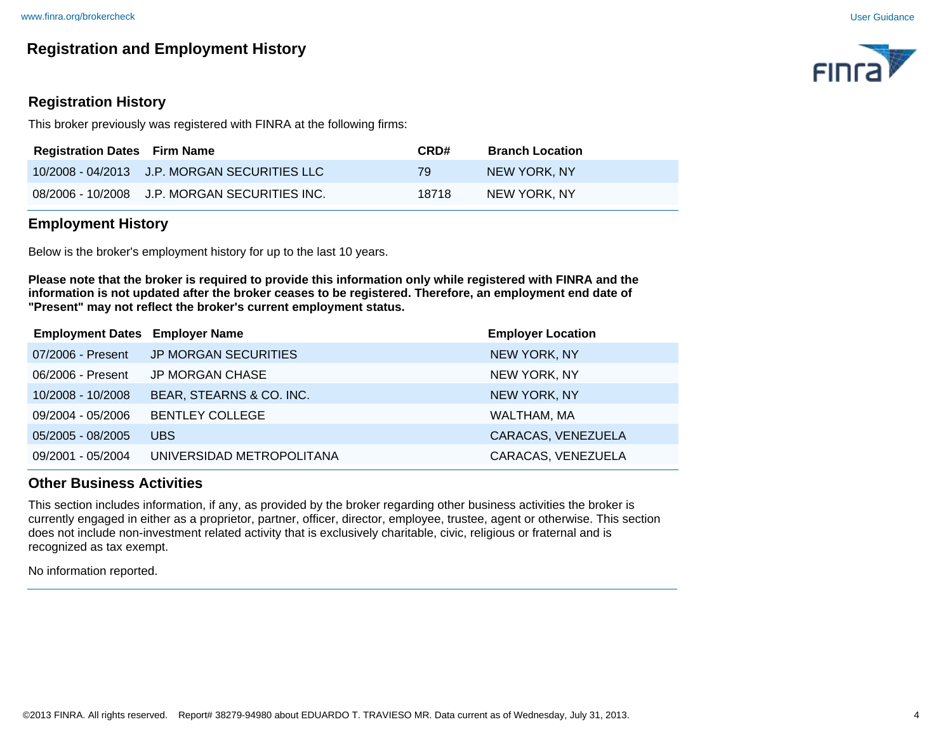# **Registration and Employment History**

# **Registration History**

This broker previously was registered with FINRA at the following firms:

| <b>Registration Dates Firm Name</b> |                                               | CRD#  | <b>Branch Location</b> |
|-------------------------------------|-----------------------------------------------|-------|------------------------|
|                                     | 10/2008 - 04/2013 J.P. MORGAN SECURITIES LLC  | 79    | NEW YORK. NY           |
|                                     | 08/2006 - 10/2008 J.P. MORGAN SECURITIES INC. | 18718 | NEW YORK, NY           |

## **Employment History**

Below is the broker's employment history for up to the last 10 years.

**Please note that the broker is required to provide this information only while registered with FINRA and the information is not updated after the broker ceases to be registered. Therefore, an employment end date of "Present" may not reflect the broker's current employment status.**

| <b>Employment Dates Employer Name</b> |                                        | <b>Employer Location</b> |
|---------------------------------------|----------------------------------------|--------------------------|
|                                       | 07/2006 - Present JP MORGAN SECURITIES | NEW YORK, NY             |
| 06/2006 - Present                     | JP MORGAN CHASE                        | NEW YORK, NY             |
| 10/2008 - 10/2008                     | BEAR, STEARNS & CO. INC.               | <b>NEW YORK, NY</b>      |
| 09/2004 - 05/2006                     | <b>BENTLEY COLLEGE</b>                 | WALTHAM, MA              |
| 05/2005 - 08/2005                     | UBS                                    | CARACAS, VENEZUELA       |
| 09/2001 - 05/2004                     | UNIVERSIDAD METROPOLITANA              | CARACAS, VENEZUELA       |
|                                       |                                        |                          |

## **Other Business Activities**

This section includes information, if any, as provided by the broker regarding other business activities the broker is currently engaged in either as a proprietor, partner, officer, director, employee, trustee, agent or otherwise. This section does not include non-investment related activity that is exclusively charitable, civic, religious or fraternal and is recognized as tax exempt.

No information reported.

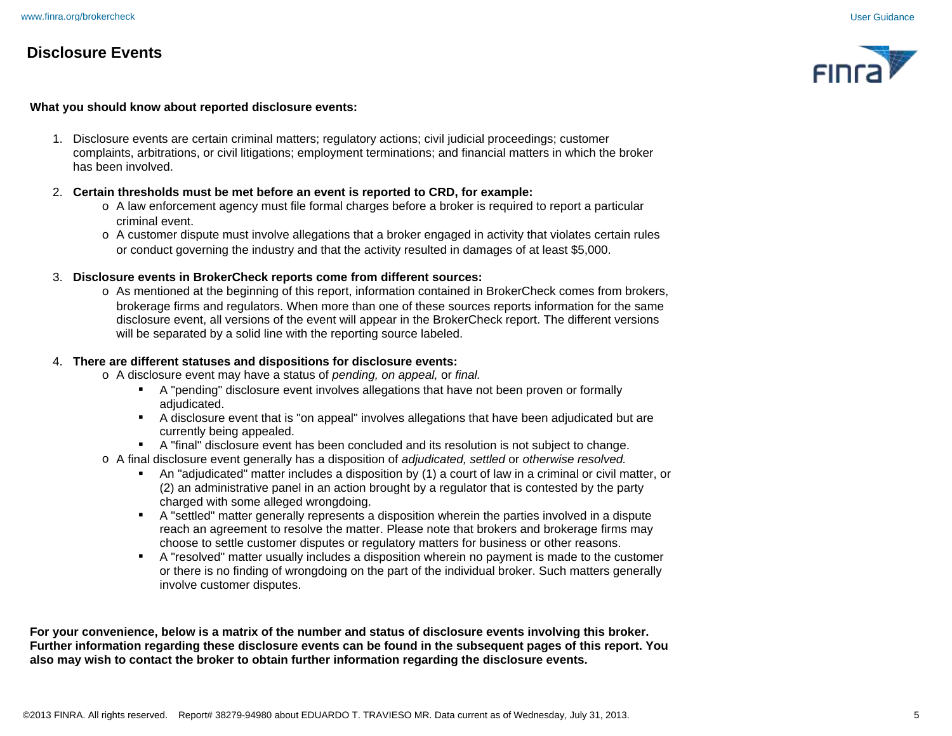# **Disclosure Events**



#### **What you should know about reported disclosure events:**

1. Disclosure events are certain criminal matters; regulatory actions; civil judicial proceedings; customer complaints, arbitrations, or civil litigations; employment terminations; and financial matters in which the broker has been involved.

#### 2. **Certain thresholds must be met before an event is reported to CRD, for example:**

- o A law enforcement agency must file formal charges before a broker is required to report a particular criminal event.
- o A customer dispute must involve allegations that a broker engaged in activity that violates certain rules or conduct governing the industry and that the activity resulted in damages of at least \$5,000.

#### 3. **Disclosure events in BrokerCheck reports come from different sources:**

 o As mentioned at the beginning of this report, information contained in BrokerCheck comes from brokers, brokerage firms and regulators. When more than one of these sources reports information for the same disclosure event, all versions of the event will appear in the BrokerCheck report. The different versions will be separated by a solid line with the reporting source labeled.

#### 4. **There are different statuses and dispositions for disclosure events:**

- o A disclosure event may have a status of *pending, on appeal,* or *final.*
	- **•** A "pending" disclosure event involves allegations that have not been proven or formally adiudicated.
	- § A disclosure event that is "on appeal" involves allegations that have been adjudicated but are currently being appealed.
	- **A "final" disclosure event has been concluded and its resolution is not subject to change.**
- o A final disclosure event generally has a disposition of *adjudicated, settled* or *otherwise resolved.*
	- § An "adjudicated" matter includes a disposition by (1) a court of law in a criminal or civil matter, or (2) an administrative panel in an action brought by a regulator that is contested by the party charged with some alleged wrongdoing.
	- A "settled" matter generally represents a disposition wherein the parties involved in a dispute reach an agreement to resolve the matter. Please note that brokers and brokerage firms may choose to settle customer disputes or regulatory matters for business or other reasons.
	- § A "resolved" matter usually includes a disposition wherein no payment is made to the customer or there is no finding of wrongdoing on the part of the individual broker. Such matters generally involve customer disputes.

**For your convenience, below is a matrix of the number and status of disclosure events involving this broker. Further information regarding these disclosure events can be found in the subsequent pages of this report. You also may wish to contact the broker to obtain further information regarding the disclosure events.**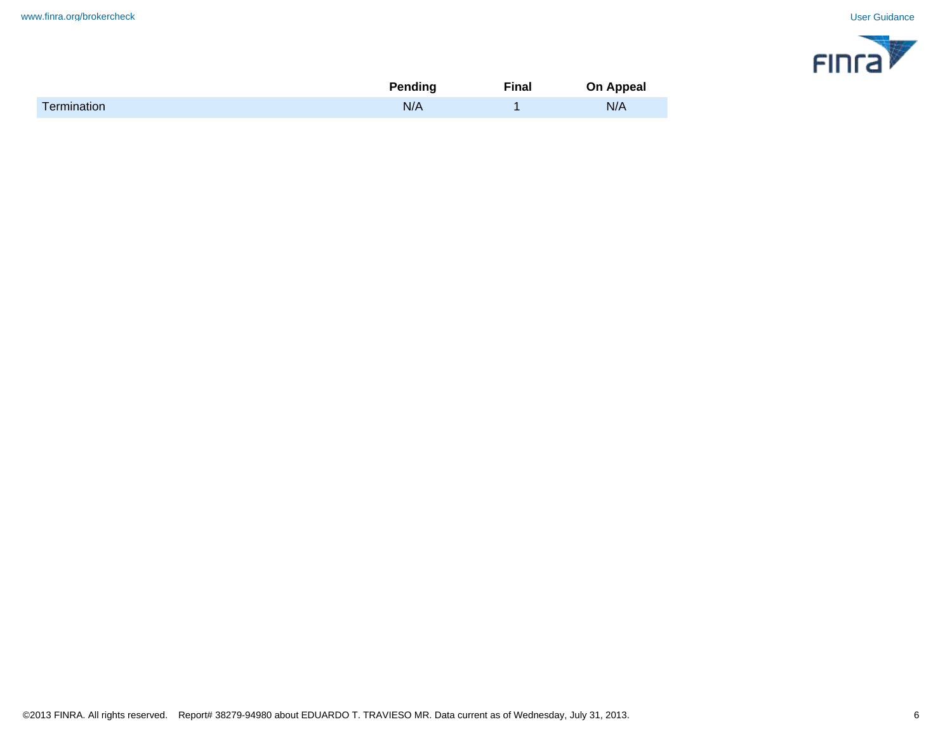

|                    | <b>Pending</b> | <b>Final</b> | On Appeal |
|--------------------|----------------|--------------|-----------|
| <b>Termination</b> | N/A            |              | N/A       |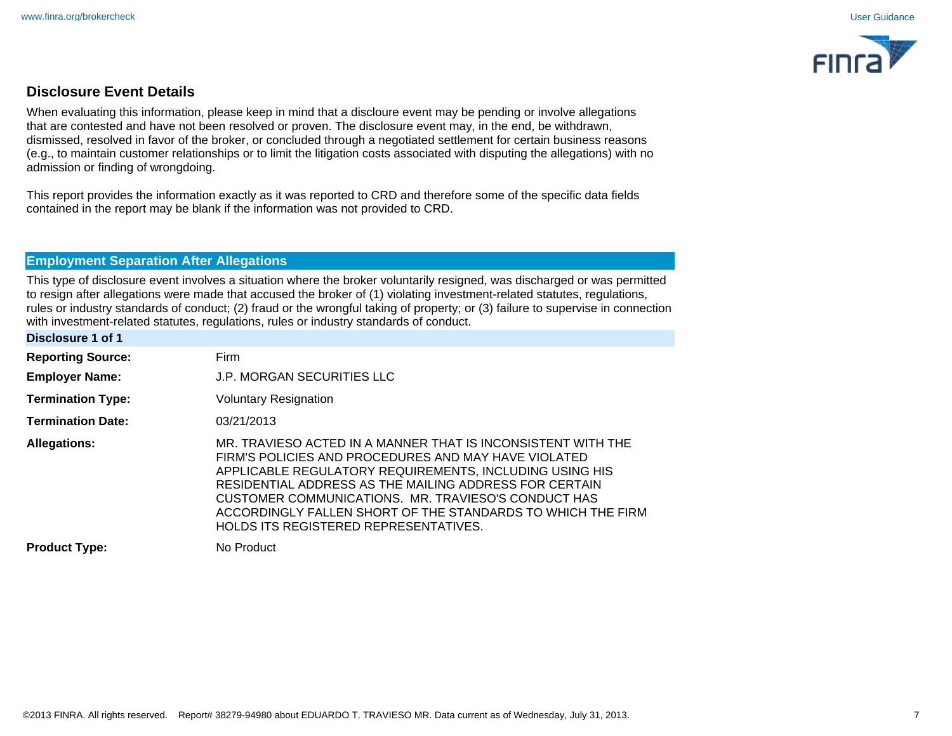

# **Disclosure Event Details**

When evaluating this information, please keep in mind that a discloure event may be pending or involve allegations that are contested and have not been resolved or proven. The disclosure event may, in the end, be withdrawn, dismissed, resolved in favor of the broker, or concluded through a negotiated settlement for certain business reasons (e.g., to maintain customer relationships or to limit the litigation costs associated with disputing the allegations) with no admission or finding of wrongdoing.

This report provides the information exactly as it was reported to CRD and therefore some of the specific data fields contained in the report may be blank if the information was not provided to CRD.

# **Employment Separation After Allegations**

This type of disclosure event involves a situation where the broker voluntarily resigned, was discharged or was permitted to resign after allegations were made that accused the broker of (1) violating investment-related statutes, regulations, rules or industry standards of conduct; (2) fraud or the wrongful taking of property; or (3) failure to supervise in connection with investment-related statutes, regulations, rules or industry standards of conduct.

| Disclosure 1 of 1        |                                                                                                                                                                                                                                                                                                                                                                                                                 |
|--------------------------|-----------------------------------------------------------------------------------------------------------------------------------------------------------------------------------------------------------------------------------------------------------------------------------------------------------------------------------------------------------------------------------------------------------------|
| <b>Reporting Source:</b> | Firm                                                                                                                                                                                                                                                                                                                                                                                                            |
| <b>Employer Name:</b>    | <b>J.P. MORGAN SECURITIES LLC</b>                                                                                                                                                                                                                                                                                                                                                                               |
| <b>Termination Type:</b> | <b>Voluntary Resignation</b>                                                                                                                                                                                                                                                                                                                                                                                    |
| <b>Termination Date:</b> | 03/21/2013                                                                                                                                                                                                                                                                                                                                                                                                      |
| <b>Allegations:</b>      | MR. TRAVIESO ACTED IN A MANNER THAT IS INCONSISTENT WITH THE<br>FIRM'S POLICIES AND PROCEDURES AND MAY HAVE VIOLATED<br>APPLICABLE REGULATORY REQUIREMENTS, INCLUDING USING HIS<br>RESIDENTIAL ADDRESS AS THE MAILING ADDRESS FOR CERTAIN<br>CUSTOMER COMMUNICATIONS. MR. TRAVIESO'S CONDUCT HAS<br>ACCORDINGLY FALLEN SHORT OF THE STANDARDS TO WHICH THE FIRM<br><b>HOLDS ITS REGISTERED REPRESENTATIVES.</b> |
| <b>Product Type:</b>     | No Product                                                                                                                                                                                                                                                                                                                                                                                                      |